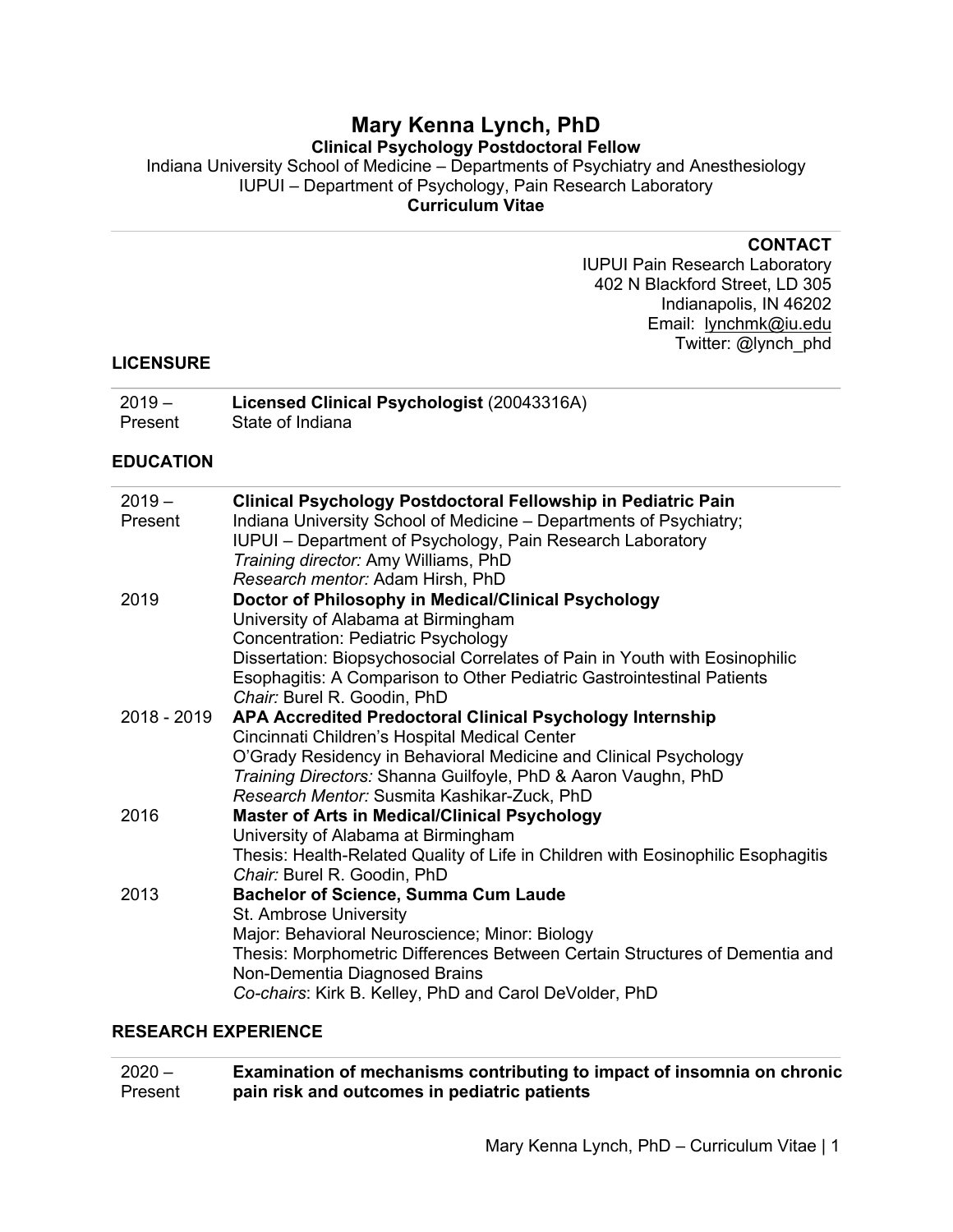# **Mary Kenna Lynch, PhD**

## **Clinical Psychology Postdoctoral Fellow**

Indiana University School of Medicine – Departments of Psychiatry and Anesthesiology IUPUI – Department of Psychology, Pain Research Laboratory **Curriculum Vitae**

#### **CONTACT**

IUPUI Pain Research Laboratory 402 N Blackford Street, LD 305 Indianapolis, IN 46202 Email: lynchmk@iu.edu Twitter: @lynch\_phd

#### **LICENSURE**

| $2019 -$ | Licensed Clinical Psychologist (20043316A) |
|----------|--------------------------------------------|
| Present  | State of Indiana                           |

#### **EDUCATION**

| $2019 -$    | Clinical Psychology Postdoctoral Fellowship in Pediatric Pain                                                |
|-------------|--------------------------------------------------------------------------------------------------------------|
| Present     | Indiana University School of Medicine - Departments of Psychiatry;                                           |
|             | IUPUI – Department of Psychology, Pain Research Laboratory                                                   |
|             | Training director: Amy Williams, PhD                                                                         |
|             | Research mentor: Adam Hirsh, PhD                                                                             |
| 2019        | Doctor of Philosophy in Medical/Clinical Psychology                                                          |
|             | University of Alabama at Birmingham                                                                          |
|             | <b>Concentration: Pediatric Psychology</b>                                                                   |
|             | Dissertation: Biopsychosocial Correlates of Pain in Youth with Eosinophilic                                  |
|             | Esophagitis: A Comparison to Other Pediatric Gastrointestinal Patients                                       |
|             | Chair: Burel R. Goodin, PhD                                                                                  |
| 2018 - 2019 | APA Accredited Predoctoral Clinical Psychology Internship                                                    |
|             | Cincinnati Children's Hospital Medical Center                                                                |
|             | O'Grady Residency in Behavioral Medicine and Clinical Psychology                                             |
|             | Training Directors: Shanna Guilfoyle, PhD & Aaron Vaughn, PhD                                                |
|             | Research Mentor: Susmita Kashikar-Zuck, PhD                                                                  |
| 2016        | <b>Master of Arts in Medical/Clinical Psychology</b>                                                         |
|             | University of Alabama at Birmingham                                                                          |
|             | Thesis: Health-Related Quality of Life in Children with Eosinophilic Esophagitis                             |
|             | Chair: Burel R. Goodin, PhD                                                                                  |
| 2013        | <b>Bachelor of Science, Summa Cum Laude</b>                                                                  |
|             | St. Ambrose University                                                                                       |
|             | Major: Behavioral Neuroscience; Minor: Biology                                                               |
|             | Thesis: Morphometric Differences Between Certain Structures of Dementia and<br>Non-Dementia Diagnosed Brains |
|             | Co-chairs: Kirk B. Kelley, PhD and Carol DeVolder, PhD                                                       |
|             |                                                                                                              |

#### **RESEARCH EXPERIENCE**

| $2020 -$ | Examination of mechanisms contributing to impact of insomnia on chronic |
|----------|-------------------------------------------------------------------------|
| Present  | pain risk and outcomes in pediatric patients                            |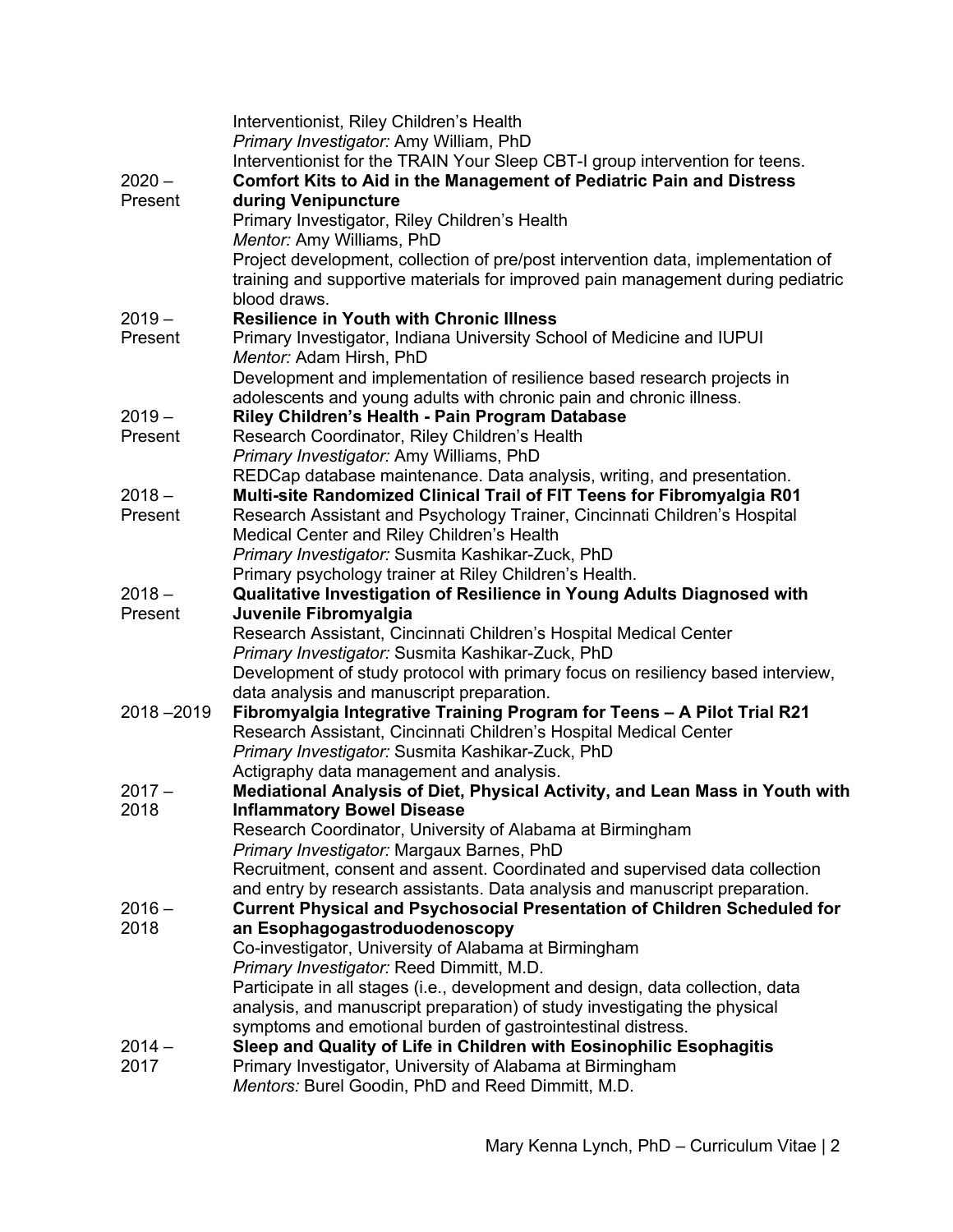|               | Interventionist, Riley Children's Health                                                                                           |
|---------------|------------------------------------------------------------------------------------------------------------------------------------|
|               | Primary Investigator: Amy William, PhD                                                                                             |
|               | Interventionist for the TRAIN Your Sleep CBT-I group intervention for teens.                                                       |
| $2020 -$      | <b>Comfort Kits to Aid in the Management of Pediatric Pain and Distress</b>                                                        |
| Present       | during Venipuncture                                                                                                                |
|               | Primary Investigator, Riley Children's Health<br>Mentor: Amy Williams, PhD                                                         |
|               | Project development, collection of pre/post intervention data, implementation of                                                   |
|               | training and supportive materials for improved pain management during pediatric                                                    |
|               | blood draws.                                                                                                                       |
| $2019 -$      | <b>Resilience in Youth with Chronic Illness</b>                                                                                    |
| Present       | Primary Investigator, Indiana University School of Medicine and IUPUI                                                              |
|               | Mentor: Adam Hirsh, PhD                                                                                                            |
|               | Development and implementation of resilience based research projects in                                                            |
|               | adolescents and young adults with chronic pain and chronic illness.                                                                |
| $2019 -$      | Riley Children's Health - Pain Program Database                                                                                    |
| Present       | Research Coordinator, Riley Children's Health                                                                                      |
|               | Primary Investigator: Amy Williams, PhD                                                                                            |
|               | REDCap database maintenance. Data analysis, writing, and presentation.                                                             |
| $2018 -$      | Multi-site Randomized Clinical Trail of FIT Teens for Fibromyalgia R01                                                             |
| Present       | Research Assistant and Psychology Trainer, Cincinnati Children's Hospital                                                          |
|               | Medical Center and Riley Children's Health                                                                                         |
|               | Primary Investigator: Susmita Kashikar-Zuck, PhD                                                                                   |
|               | Primary psychology trainer at Riley Children's Health.                                                                             |
| $2018 -$      | Qualitative Investigation of Resilience in Young Adults Diagnosed with                                                             |
| Present       | Juvenile Fibromyalgia                                                                                                              |
|               | Research Assistant, Cincinnati Children's Hospital Medical Center<br>Primary Investigator: Susmita Kashikar-Zuck, PhD              |
|               | Development of study protocol with primary focus on resiliency based interview,                                                    |
|               | data analysis and manuscript preparation.                                                                                          |
| $2018 - 2019$ | Fibromyalgia Integrative Training Program for Teens - A Pilot Trial R21                                                            |
|               | Research Assistant, Cincinnati Children's Hospital Medical Center                                                                  |
|               | Primary Investigator: Susmita Kashikar-Zuck, PhD                                                                                   |
|               | Actigraphy data management and analysis.                                                                                           |
| $2017 -$      | Mediational Analysis of Diet, Physical Activity, and Lean Mass in Youth with                                                       |
| 2018          | <b>Inflammatory Bowel Disease</b>                                                                                                  |
|               | Research Coordinator, University of Alabama at Birmingham                                                                          |
|               | Primary Investigator: Margaux Barnes, PhD                                                                                          |
|               | Recruitment, consent and assent. Coordinated and supervised data collection                                                        |
|               | and entry by research assistants. Data analysis and manuscript preparation.                                                        |
| $2016 -$      | <b>Current Physical and Psychosocial Presentation of Children Scheduled for</b>                                                    |
| 2018          | an Esophagogastroduodenoscopy                                                                                                      |
|               | Co-investigator, University of Alabama at Birmingham                                                                               |
|               | Primary Investigator: Reed Dimmitt, M.D.                                                                                           |
|               | Participate in all stages (i.e., development and design, data collection, data                                                     |
|               | analysis, and manuscript preparation) of study investigating the physical                                                          |
| $2014 -$      | symptoms and emotional burden of gastrointestinal distress.<br>Sleep and Quality of Life in Children with Eosinophilic Esophagitis |
| 2017          | Primary Investigator, University of Alabama at Birmingham                                                                          |
|               | Mentors: Burel Goodin, PhD and Reed Dimmitt, M.D.                                                                                  |
|               |                                                                                                                                    |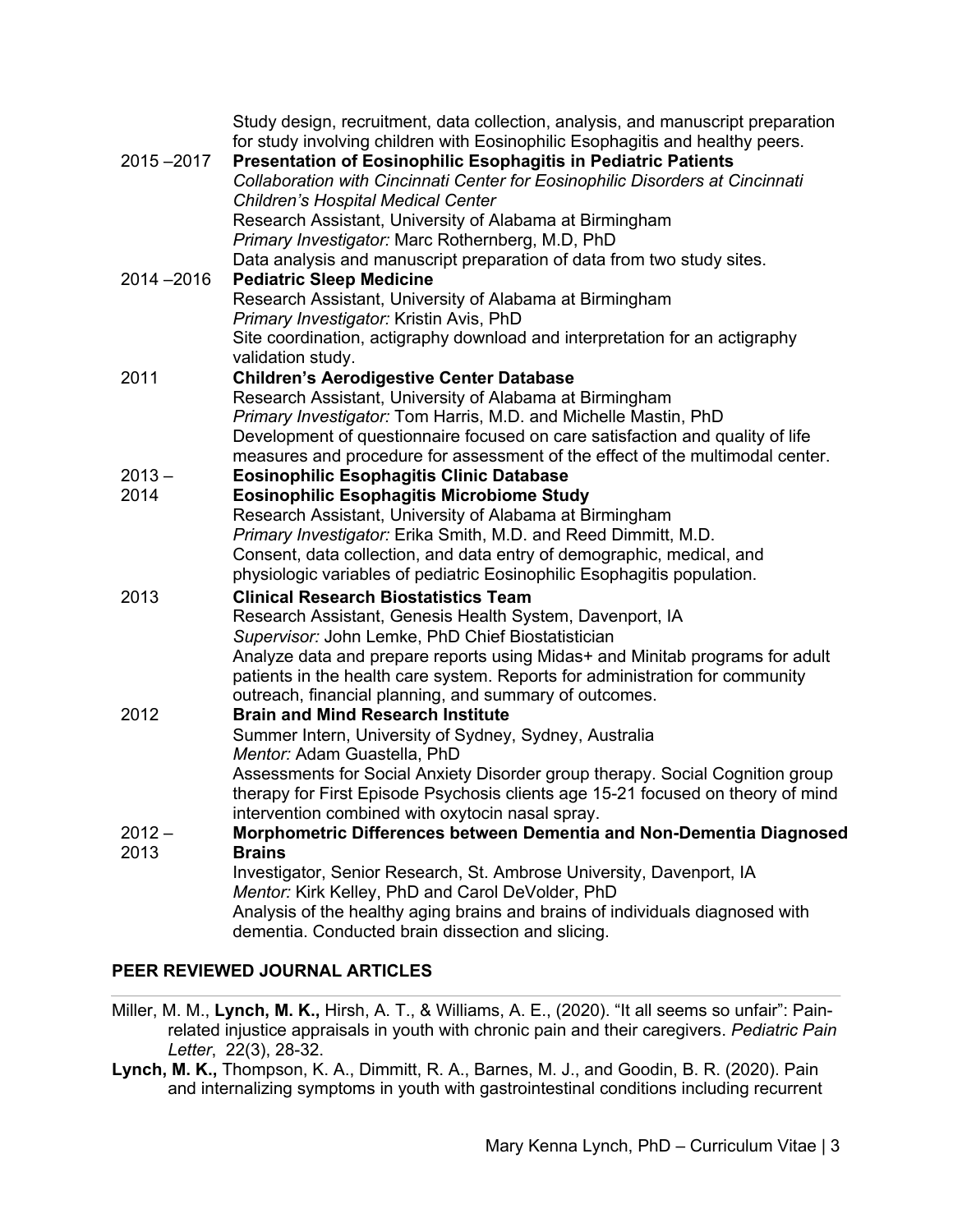|               | Study design, recruitment, data collection, analysis, and manuscript preparation<br>for study involving children with Eosinophilic Esophagitis and healthy peers. |
|---------------|-------------------------------------------------------------------------------------------------------------------------------------------------------------------|
| 2015-2017     | <b>Presentation of Eosinophilic Esophagitis in Pediatric Patients</b>                                                                                             |
|               | Collaboration with Cincinnati Center for Eosinophilic Disorders at Cincinnati                                                                                     |
|               | <b>Children's Hospital Medical Center</b>                                                                                                                         |
|               | Research Assistant, University of Alabama at Birmingham                                                                                                           |
|               | Primary Investigator: Marc Rothernberg, M.D, PhD                                                                                                                  |
|               | Data analysis and manuscript preparation of data from two study sites.                                                                                            |
| $2014 - 2016$ | <b>Pediatric Sleep Medicine</b>                                                                                                                                   |
|               | Research Assistant, University of Alabama at Birmingham                                                                                                           |
|               | Primary Investigator: Kristin Avis, PhD                                                                                                                           |
|               | Site coordination, actigraphy download and interpretation for an actigraphy                                                                                       |
|               | validation study.                                                                                                                                                 |
| 2011          | <b>Children's Aerodigestive Center Database</b>                                                                                                                   |
|               | Research Assistant, University of Alabama at Birmingham                                                                                                           |
|               | Primary Investigator: Tom Harris, M.D. and Michelle Mastin, PhD                                                                                                   |
|               | Development of questionnaire focused on care satisfaction and quality of life                                                                                     |
|               | measures and procedure for assessment of the effect of the multimodal center.                                                                                     |
| $2013 -$      | <b>Eosinophilic Esophagitis Clinic Database</b>                                                                                                                   |
| 2014          | <b>Eosinophilic Esophagitis Microbiome Study</b>                                                                                                                  |
|               | Research Assistant, University of Alabama at Birmingham                                                                                                           |
|               | Primary Investigator: Erika Smith, M.D. and Reed Dimmitt, M.D.                                                                                                    |
|               | Consent, data collection, and data entry of demographic, medical, and                                                                                             |
|               | physiologic variables of pediatric Eosinophilic Esophagitis population.                                                                                           |
| 2013          | <b>Clinical Research Biostatistics Team</b>                                                                                                                       |
|               | Research Assistant, Genesis Health System, Davenport, IA                                                                                                          |
|               | Supervisor: John Lemke, PhD Chief Biostatistician                                                                                                                 |
|               | Analyze data and prepare reports using Midas+ and Minitab programs for adult                                                                                      |
|               | patients in the health care system. Reports for administration for community                                                                                      |
|               | outreach, financial planning, and summary of outcomes.                                                                                                            |
| 2012          | <b>Brain and Mind Research Institute</b>                                                                                                                          |
|               | Summer Intern, University of Sydney, Sydney, Australia                                                                                                            |
|               | Mentor: Adam Guastella, PhD                                                                                                                                       |
|               | Assessments for Social Anxiety Disorder group therapy. Social Cognition group                                                                                     |
|               | therapy for First Episode Psychosis clients age 15-21 focused on theory of mind                                                                                   |
|               | intervention combined with oxytocin nasal spray.                                                                                                                  |
| $2012 -$      | Morphometric Differences between Dementia and Non-Dementia Diagnosed                                                                                              |
| 2013          | <b>Brains</b>                                                                                                                                                     |
|               | Investigator, Senior Research, St. Ambrose University, Davenport, IA                                                                                              |
|               | Mentor: Kirk Kelley, PhD and Carol DeVolder, PhD                                                                                                                  |
|               | Analysis of the healthy aging brains and brains of individuals diagnosed with                                                                                     |
|               | dementia. Conducted brain dissection and slicing.                                                                                                                 |

## **PEER REVIEWED JOURNAL ARTICLES**

- Miller, M. M., **Lynch, M. K.,** Hirsh, A. T., & Williams, A. E., (2020). "It all seems so unfair": Painrelated injustice appraisals in youth with chronic pain and their caregivers. *Pediatric Pain Letter*, 22(3), 28-32.
- **Lynch, M. K.,** Thompson, K. A., Dimmitt, R. A., Barnes, M. J., and Goodin, B. R. (2020). Pain and internalizing symptoms in youth with gastrointestinal conditions including recurrent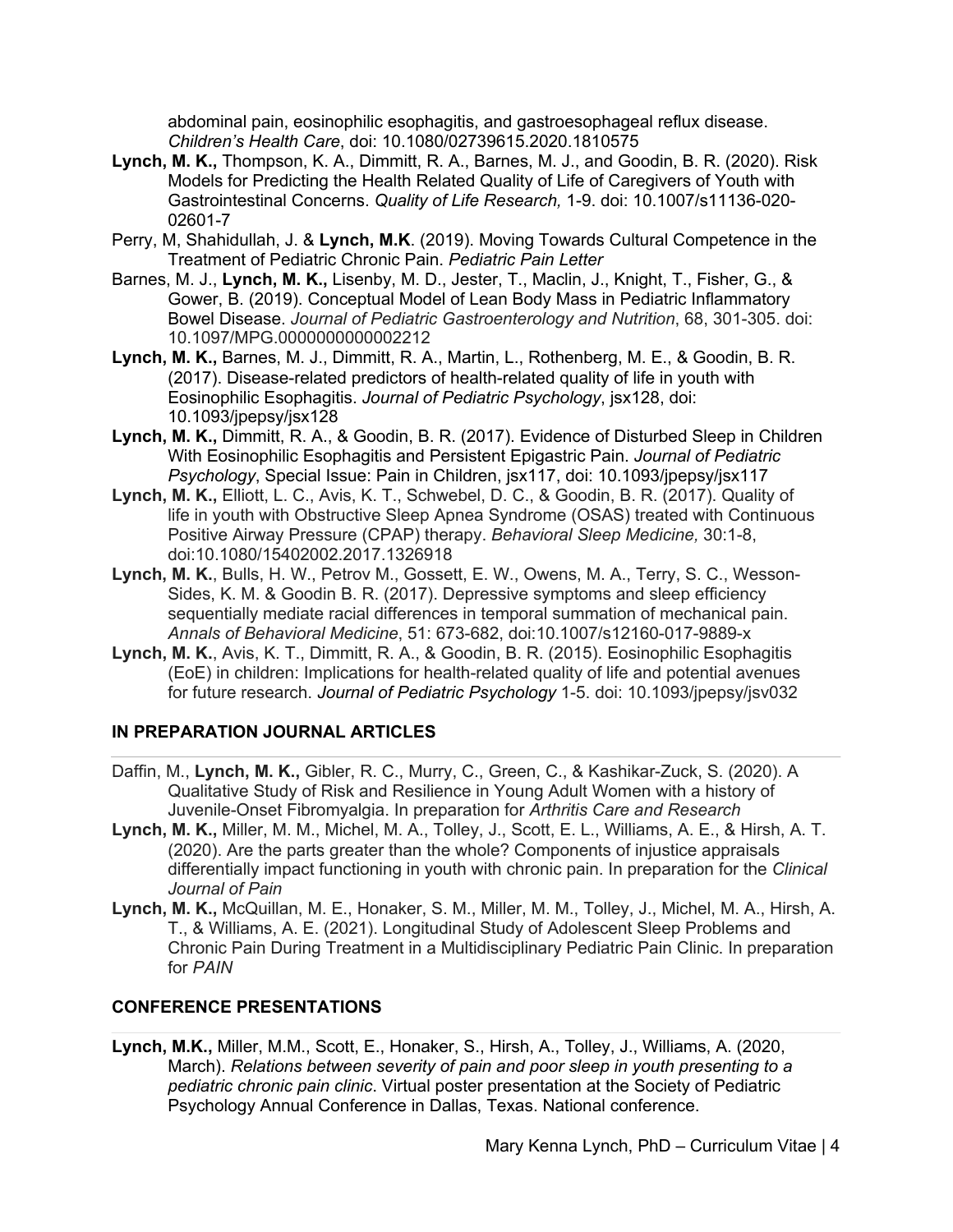abdominal pain, eosinophilic esophagitis, and gastroesophageal reflux disease. *Children's Health Care*, doi: 10.1080/02739615.2020.1810575

- **Lynch, M. K.,** Thompson, K. A., Dimmitt, R. A., Barnes, M. J., and Goodin, B. R. (2020). Risk Models for Predicting the Health Related Quality of Life of Caregivers of Youth with Gastrointestinal Concerns. *Quality of Life Research,* 1-9. doi: 10.1007/s11136-020- 02601-7
- Perry, M, Shahidullah, J. & **Lynch, M.K**. (2019). Moving Towards Cultural Competence in the Treatment of Pediatric Chronic Pain. *Pediatric Pain Letter*
- Barnes, M. J., **Lynch, M. K.,** Lisenby, M. D., Jester, T., Maclin, J., Knight, T., Fisher, G., & Gower, B. (2019). Conceptual Model of Lean Body Mass in Pediatric Inflammatory Bowel Disease. *Journal of Pediatric Gastroenterology and Nutrition*, 68, 301-305. doi: 10.1097/MPG.0000000000002212
- **Lynch, M. K.,** Barnes, M. J., Dimmitt, R. A., Martin, L., Rothenberg, M. E., & Goodin, B. R. (2017). Disease-related predictors of health-related quality of life in youth with Eosinophilic Esophagitis. *Journal of Pediatric Psychology*, jsx128, doi: 10.1093/jpepsy/jsx128
- **Lynch, M. K.,** Dimmitt, R. A., & Goodin, B. R. (2017). Evidence of Disturbed Sleep in Children With Eosinophilic Esophagitis and Persistent Epigastric Pain. *Journal of Pediatric Psychology*, Special Issue: Pain in Children, jsx117, doi: 10.1093/jpepsy/jsx117
- **Lynch, M. K.,** Elliott, L. C., Avis, K. T., Schwebel, D. C., & Goodin, B. R. (2017). Quality of life in youth with Obstructive Sleep Apnea Syndrome (OSAS) treated with Continuous Positive Airway Pressure (CPAP) therapy. *Behavioral Sleep Medicine,* 30:1-8, doi:10.1080/15402002.2017.1326918
- **Lynch, M. K.**, Bulls, H. W., Petrov M., Gossett, E. W., Owens, M. A., Terry, S. C., Wesson-Sides, K. M. & Goodin B. R. (2017). Depressive symptoms and sleep efficiency sequentially mediate racial differences in temporal summation of mechanical pain. *Annals of Behavioral Medicine*, 51: 673-682, doi:10.1007/s12160-017-9889-x
- **Lynch, M. K.**, Avis, K. T., Dimmitt, R. A., & Goodin, B. R. (2015). Eosinophilic Esophagitis (EoE) in children: Implications for health-related quality of life and potential avenues for future research. *Journal of Pediatric Psychology* 1-5. doi: 10.1093/jpepsy/jsv032

## **IN PREPARATION JOURNAL ARTICLES**

- Daffin, M., **Lynch, M. K.,** Gibler, R. C., Murry, C., Green, C., & Kashikar-Zuck, S. (2020). A Qualitative Study of Risk and Resilience in Young Adult Women with a history of Juvenile-Onset Fibromyalgia. In preparation for *Arthritis Care and Research*
- **Lynch, M. K.,** Miller, M. M., Michel, M. A., Tolley, J., Scott, E. L., Williams, A. E., & Hirsh, A. T. (2020). Are the parts greater than the whole? Components of injustice appraisals differentially impact functioning in youth with chronic pain. In preparation for the *Clinical Journal of Pain*
- **Lynch, M. K.,** McQuillan, M. E., Honaker, S. M., Miller, M. M., Tolley, J., Michel, M. A., Hirsh, A. T., & Williams, A. E. (2021). Longitudinal Study of Adolescent Sleep Problems and Chronic Pain During Treatment in a Multidisciplinary Pediatric Pain Clinic. In preparation for *PAIN*

## **CONFERENCE PRESENTATIONS**

**Lynch, M.K.,** Miller, M.M., Scott, E., Honaker, S., Hirsh, A., Tolley, J., Williams, A. (2020, March). *Relations between severity of pain and poor sleep in youth presenting to a pediatric chronic pain clinic*. Virtual poster presentation at the Society of Pediatric Psychology Annual Conference in Dallas, Texas. National conference.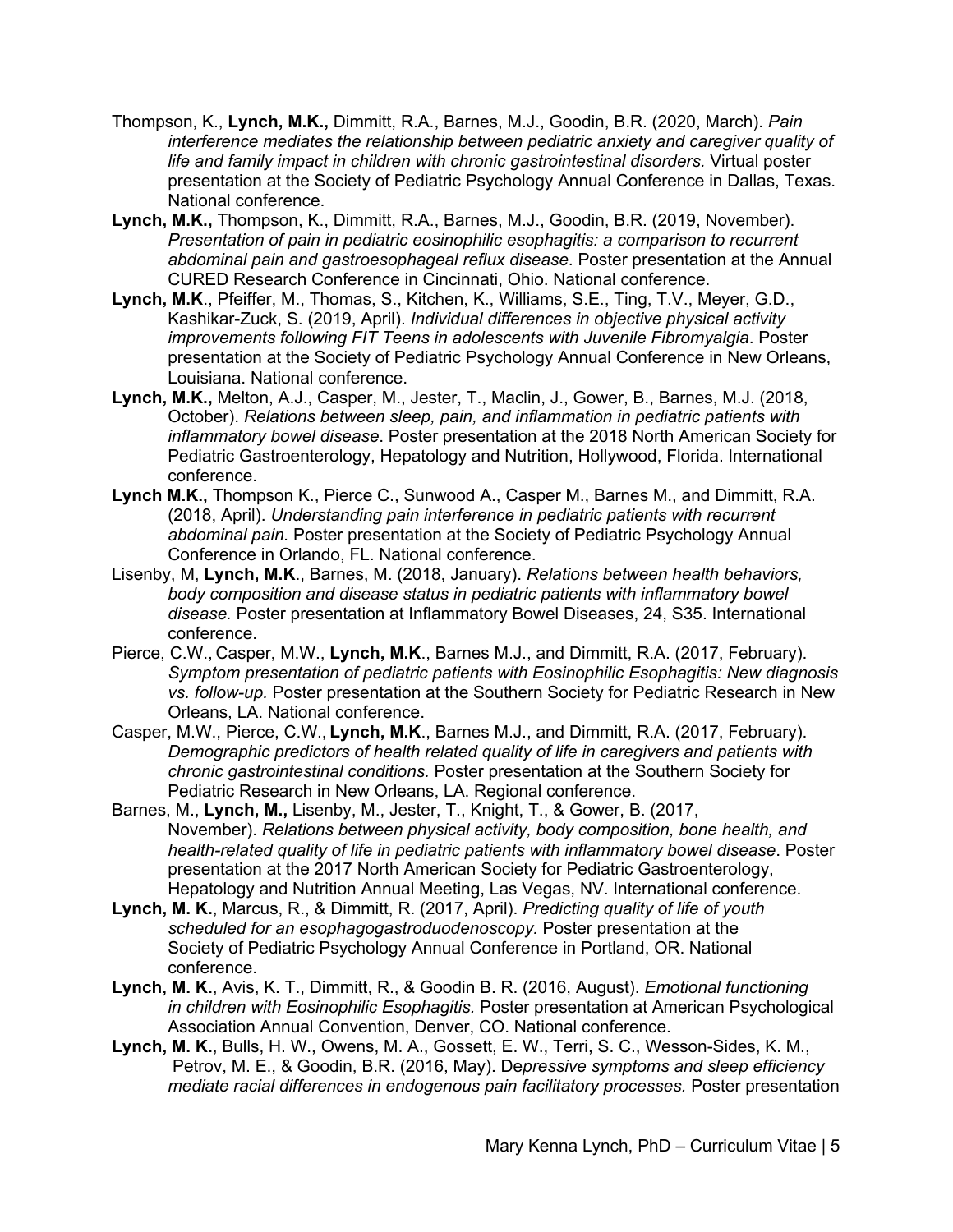- Thompson, K., **Lynch, M.K.,** Dimmitt, R.A., Barnes, M.J., Goodin, B.R. (2020, March). *Pain interference mediates the relationship between pediatric anxiety and caregiver quality of life and family impact in children with chronic gastrointestinal disorders.* Virtual poster presentation at the Society of Pediatric Psychology Annual Conference in Dallas, Texas. National conference.
- **Lynch, M.K.,** Thompson, K., Dimmitt, R.A., Barnes, M.J., Goodin, B.R. (2019, November). *Presentation of pain in pediatric eosinophilic esophagitis: a comparison to recurrent abdominal pain and gastroesophageal reflux disease*. Poster presentation at the Annual CURED Research Conference in Cincinnati, Ohio. National conference.
- **Lynch, M.K**., Pfeiffer, M., Thomas, S., Kitchen, K., Williams, S.E., Ting, T.V., Meyer, G.D., Kashikar-Zuck, S. (2019, April). *Individual differences in objective physical activity improvements following FIT Teens in adolescents with Juvenile Fibromyalgia*. Poster presentation at the Society of Pediatric Psychology Annual Conference in New Orleans, Louisiana. National conference.
- **Lynch, M.K.,** Melton, A.J., Casper, M., Jester, T., Maclin, J., Gower, B., Barnes, M.J. (2018, October). *Relations between sleep, pain, and inflammation in pediatric patients with inflammatory bowel disease*. Poster presentation at the 2018 North American Society for Pediatric Gastroenterology, Hepatology and Nutrition, Hollywood, Florida. International conference.
- **Lynch M.K.,** Thompson K., Pierce C., Sunwood A., Casper M., Barnes M., and Dimmitt, R.A. (2018, April). *Understanding pain interference in pediatric patients with recurrent abdominal pain.* Poster presentation at the Society of Pediatric Psychology Annual Conference in Orlando, FL. National conference.
- Lisenby, M, **Lynch, M.K**., Barnes, M. (2018, January). *Relations between health behaviors, body composition and disease status in pediatric patients with inflammatory bowel disease.* Poster presentation at Inflammatory Bowel Diseases, 24, S35. International conference.
- Pierce, C.W., Casper, M.W., **Lynch, M.K**., Barnes M.J., and Dimmitt, R.A. (2017, February). *Symptom presentation of pediatric patients with Eosinophilic Esophagitis: New diagnosis vs. follow-up.* Poster presentation at the Southern Society for Pediatric Research in New Orleans, LA. National conference.
- Casper, M.W., Pierce, C.W., **Lynch, M.K**., Barnes M.J., and Dimmitt, R.A. (2017, February). *Demographic predictors of health related quality of life in caregivers and patients with chronic gastrointestinal conditions.* Poster presentation at the Southern Society for Pediatric Research in New Orleans, LA. Regional conference.
- Barnes, M., **Lynch, M.,** Lisenby, M., Jester, T., Knight, T., & Gower, B. (2017, November). *Relations between physical activity, body composition, bone health, and health-related quality of life in pediatric patients with inflammatory bowel disease*. Poster presentation at the 2017 North American Society for Pediatric Gastroenterology, Hepatology and Nutrition Annual Meeting, Las Vegas, NV. International conference.
- **Lynch, M. K.**, Marcus, R., & Dimmitt, R. (2017, April). *Predicting quality of life of youth scheduled for an esophagogastroduodenoscopy.* Poster presentation at the Society of Pediatric Psychology Annual Conference in Portland, OR. National conference.
- **Lynch, M. K.**, Avis, K. T., Dimmitt, R., & Goodin B. R. (2016, August). *Emotional functioning in children with Eosinophilic Esophagitis.* Poster presentation at American Psychological Association Annual Convention, Denver, CO. National conference.
- **Lynch, M. K.**, Bulls, H. W., Owens, M. A., Gossett, E. W., Terri, S. C., Wesson-Sides, K. M., Petrov, M. E., & Goodin, B.R. (2016, May). De*pressive symptoms and sleep efficiency mediate racial differences in endogenous pain facilitatory processes.* Poster presentation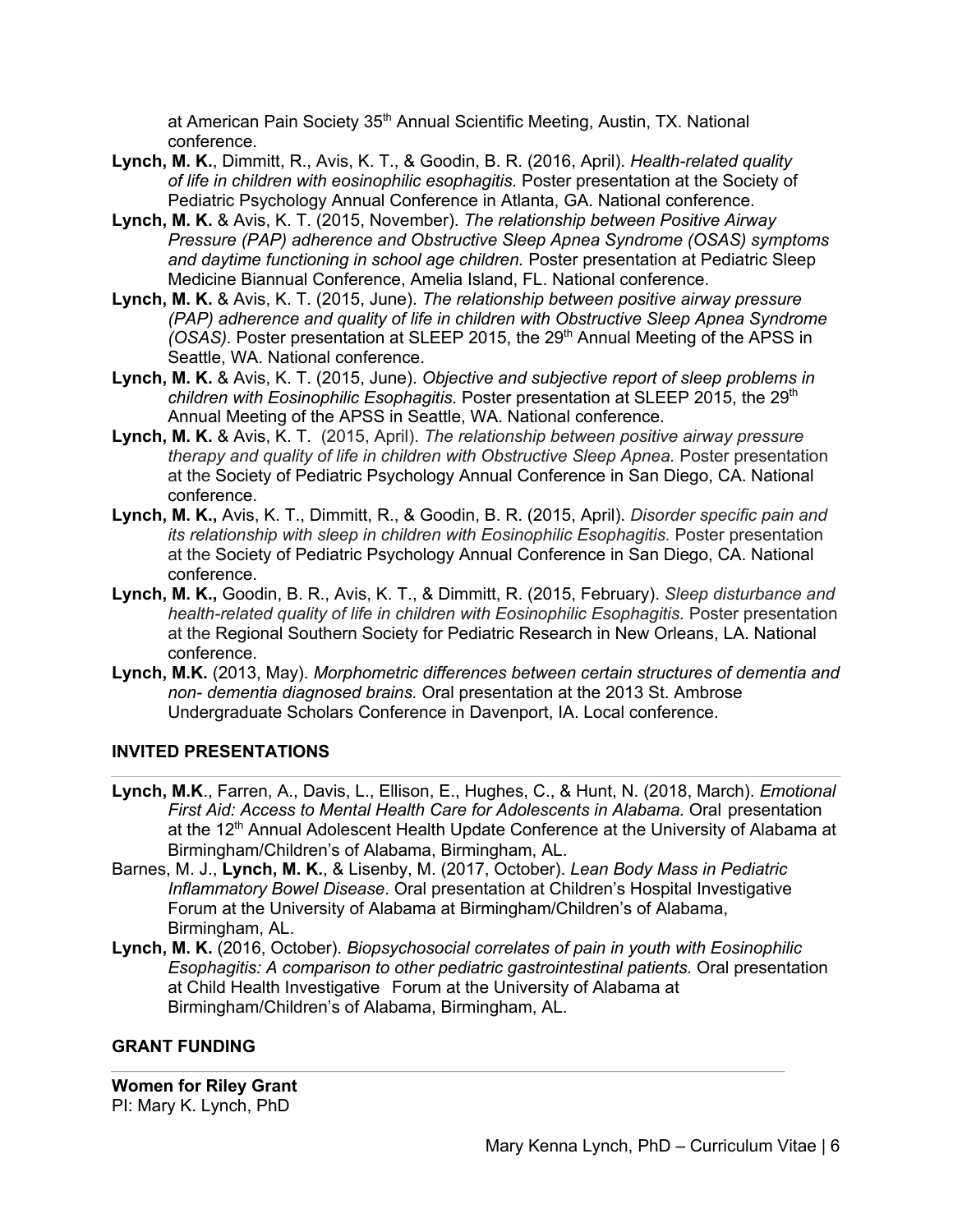at American Pain Society 35<sup>th</sup> Annual Scientific Meeting, Austin, TX. National conference.

- **Lynch, M. K.**, Dimmitt, R., Avis, K. T., & Goodin, B. R. (2016, April). *Health-related quality of life in children with eosinophilic esophagitis.* Poster presentation at the Society of Pediatric Psychology Annual Conference in Atlanta, GA. National conference.
- **Lynch, M. K.** & Avis, K. T. (2015, November). *The relationship between Positive Airway Pressure (PAP) adherence and Obstructive Sleep Apnea Syndrome (OSAS) symptoms and daytime functioning in school age children.* Poster presentation at Pediatric Sleep Medicine Biannual Conference, Amelia Island, FL. National conference.
- **Lynch, M. K.** & Avis, K. T. (2015, June). *The relationship between positive airway pressure (PAP) adherence and quality of life in children with Obstructive Sleep Apnea Syndrome (OSAS).* Poster presentation at SLEEP 2015, the 29<sup>th</sup> Annual Meeting of the APSS in Seattle, WA. National conference.
- **Lynch, M. K.** & Avis, K. T. (2015, June). *Objective and subjective report of sleep problems in children with Eosinophilic Esophagitis.* Poster presentation at SLEEP 2015, the 29<sup>th</sup> Annual Meeting of the APSS in Seattle, WA. National conference.
- **Lynch, M. K.** & Avis, K. T. (2015, April). *The relationship between positive airway pressure therapy and quality of life in children with Obstructive Sleep Apnea.* Poster presentation at the Society of Pediatric Psychology Annual Conference in San Diego, CA. National conference.
- **Lynch, M. K.,** Avis, K. T., Dimmitt, R., & Goodin, B. R. (2015, April). *Disorder specific pain and its relationship with sleep in children with Eosinophilic Esophagitis.* Poster presentation at the Society of Pediatric Psychology Annual Conference in San Diego, CA. National conference.
- **Lynch, M. K.,** Goodin, B. R., Avis, K. T., & Dimmitt, R. (2015, February). *Sleep disturbance and health-related quality of life in children with Eosinophilic Esophagitis.* Poster presentation at the Regional Southern Society for Pediatric Research in New Orleans, LA. National conference.
- **Lynch, M.K.** (2013, May). *Morphometric differences between certain structures of dementia and non- dementia diagnosed brains.* Oral presentation at the 2013 St. Ambrose Undergraduate Scholars Conference in Davenport, IA. Local conference.

#### **INVITED PRESENTATIONS**

- **Lynch, M.K**., Farren, A., Davis, L., Ellison, E., Hughes, C., & Hunt, N. (2018, March). *Emotional First Aid: Access to Mental Health Care for Adolescents in Alabama.* Oral presentation at the 12<sup>th</sup> Annual Adolescent Health Update Conference at the University of Alabama at Birmingham/Children's of Alabama, Birmingham, AL.
- Barnes, M. J., **Lynch, M. K.**, & Lisenby, M. (2017, October). *Lean Body Mass in Pediatric Inflammatory Bowel Disease*. Oral presentation at Children's Hospital Investigative Forum at the University of Alabama at Birmingham/Children's of Alabama, Birmingham, AL.
- **Lynch, M. K.** (2016, October). *Biopsychosocial correlates of pain in youth with Eosinophilic Esophagitis: A comparison to other pediatric gastrointestinal patients.* Oral presentation at Child Health Investigative Forum at the University of Alabama at Birmingham/Children's of Alabama, Birmingham, AL.

#### **GRANT FUNDING**

**Women for Riley Grant**  PI: Mary K. Lynch, PhD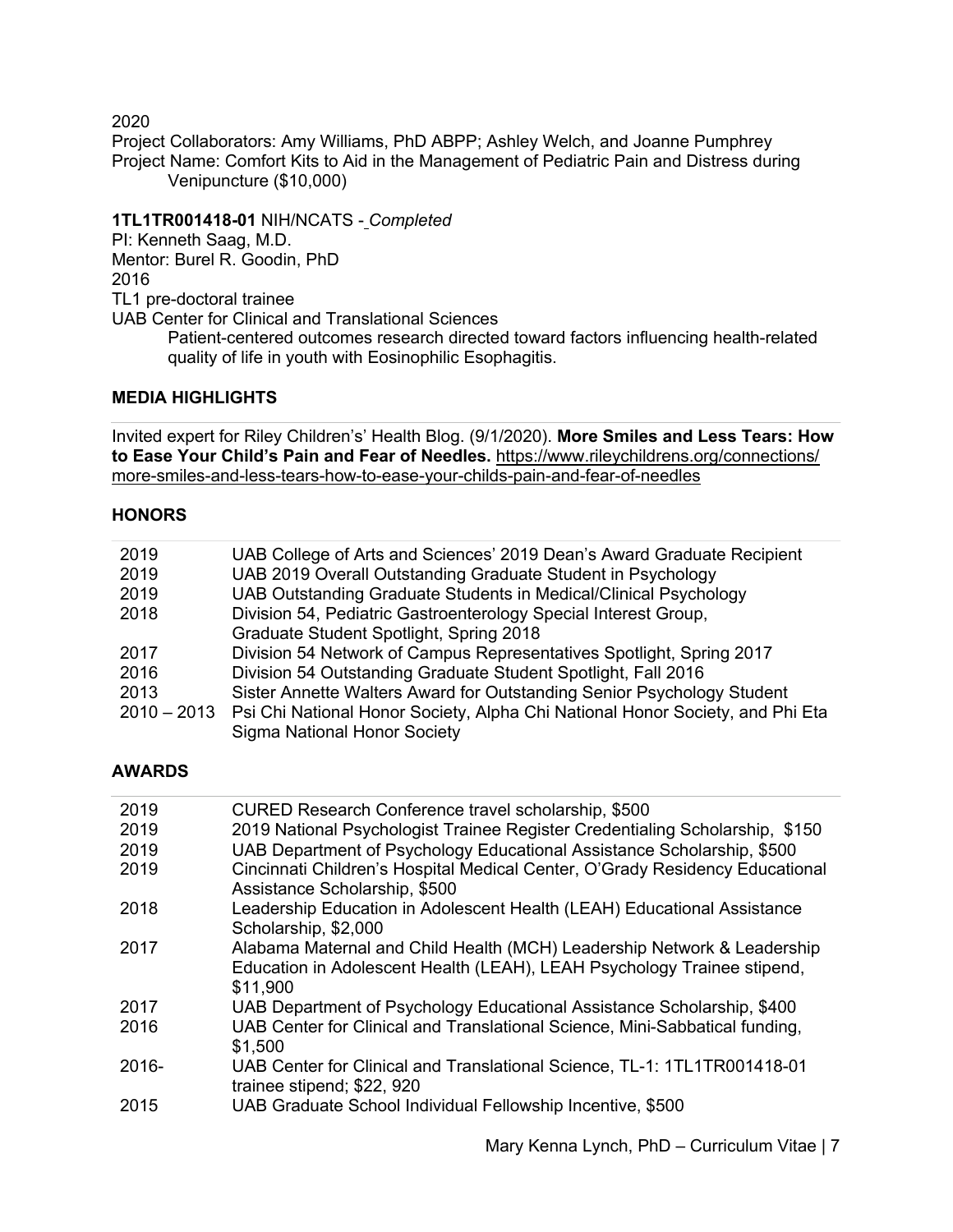2020

Project Collaborators: Amy Williams, PhD ABPP; Ashley Welch, and Joanne Pumphrey Project Name: Comfort Kits to Aid in the Management of Pediatric Pain and Distress during Venipuncture (\$10,000)

## **1TL1TR001418-01** NIH/NCATS - *Completed*

PI: Kenneth Saag, M.D. Mentor: Burel R. Goodin, PhD 2016 TL1 pre-doctoral trainee

UAB Center for Clinical and Translational Sciences

Patient-centered outcomes research directed toward factors influencing health-related quality of life in youth with Eosinophilic Esophagitis.

#### **MEDIA HIGHLIGHTS**

Invited expert for Riley Children's' Health Blog. (9/1/2020). **More Smiles and Less Tears: How to Ease Your Child's Pain and Fear of Needles.** https://www.rileychildrens.org/connections/ more-smiles-and-less-tears-how-to-ease-your-childs-pain-and-fear-of-needles

#### **HONORS**

| 2019 | UAB College of Arts and Sciences' 2019 Dean's Award Graduate Recipient                    |
|------|-------------------------------------------------------------------------------------------|
| 2019 | UAB 2019 Overall Outstanding Graduate Student in Psychology                               |
| 2019 | UAB Outstanding Graduate Students in Medical/Clinical Psychology                          |
| 2018 | Division 54, Pediatric Gastroenterology Special Interest Group,                           |
|      | Graduate Student Spotlight, Spring 2018                                                   |
| 2017 | Division 54 Network of Campus Representatives Spotlight, Spring 2017                      |
| 2016 | Division 54 Outstanding Graduate Student Spotlight, Fall 2016                             |
| 2013 | Sister Annette Walters Award for Outstanding Senior Psychology Student                    |
|      | 2010 – 2013 Psi Chi National Honor Society, Alpha Chi National Honor Society, and Phi Eta |
|      | <b>Sigma National Honor Society</b>                                                       |

#### **AWARDS**

| 2019  | CURED Research Conference travel scholarship, \$500                                                                                                            |
|-------|----------------------------------------------------------------------------------------------------------------------------------------------------------------|
| 2019  | 2019 National Psychologist Trainee Register Credentialing Scholarship, \$150                                                                                   |
| 2019  | UAB Department of Psychology Educational Assistance Scholarship, \$500                                                                                         |
| 2019  | Cincinnati Children's Hospital Medical Center, O'Grady Residency Educational<br>Assistance Scholarship, \$500                                                  |
| 2018  | Leadership Education in Adolescent Health (LEAH) Educational Assistance<br>Scholarship, \$2,000                                                                |
| 2017  | Alabama Maternal and Child Health (MCH) Leadership Network & Leadership<br>Education in Adolescent Health (LEAH), LEAH Psychology Trainee stipend,<br>\$11,900 |
| 2017  | UAB Department of Psychology Educational Assistance Scholarship, \$400                                                                                         |
| 2016  | UAB Center for Clinical and Translational Science, Mini-Sabbatical funding,<br>\$1,500                                                                         |
| 2016- | UAB Center for Clinical and Translational Science, TL-1: 1TL1TR001418-01<br>trainee stipend; \$22, 920                                                         |
| 2015  | UAB Graduate School Individual Fellowship Incentive, \$500                                                                                                     |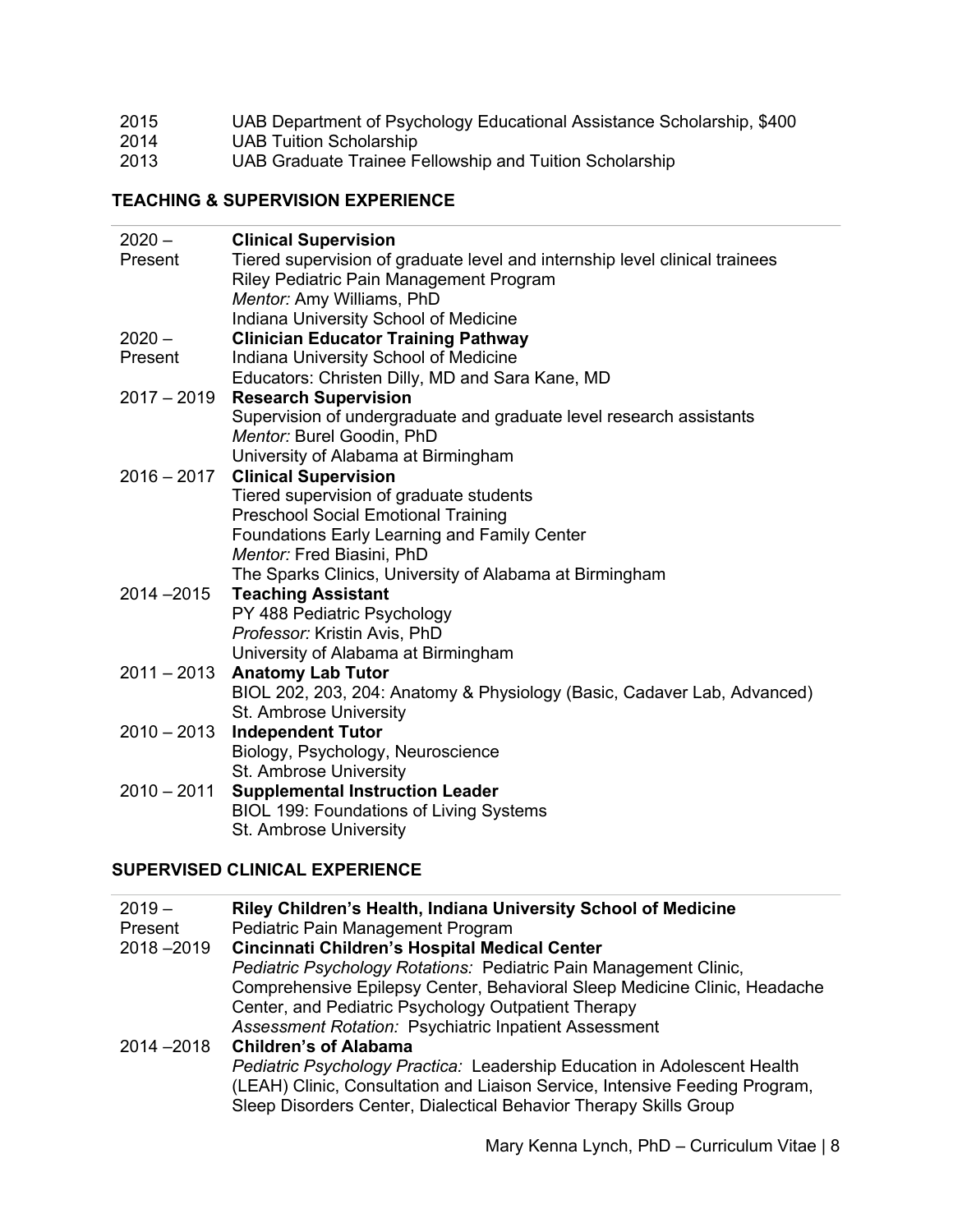#### 2015 UAB Department of Psychology Educational Assistance Scholarship, \$400

- 2014 UAB Tuition Scholarship
- 2013 UAB Graduate Trainee Fellowship and Tuition Scholarship

## **TEACHING & SUPERVISION EXPERIENCE**

| $2020 -$      | <b>Clinical Supervision</b>                                                 |
|---------------|-----------------------------------------------------------------------------|
| Present       | Tiered supervision of graduate level and internship level clinical trainees |
|               | Riley Pediatric Pain Management Program                                     |
|               | Mentor: Amy Williams, PhD                                                   |
|               | Indiana University School of Medicine                                       |
| $2020 -$      | <b>Clinician Educator Training Pathway</b>                                  |
| Present       | Indiana University School of Medicine                                       |
|               | Educators: Christen Dilly, MD and Sara Kane, MD                             |
| $2017 - 2019$ | <b>Research Supervision</b>                                                 |
|               | Supervision of undergraduate and graduate level research assistants         |
|               | Mentor: Burel Goodin, PhD                                                   |
|               | University of Alabama at Birmingham                                         |
| $2016 - 2017$ | <b>Clinical Supervision</b>                                                 |
|               | Tiered supervision of graduate students                                     |
|               | <b>Preschool Social Emotional Training</b>                                  |
|               | Foundations Early Learning and Family Center                                |
|               | Mentor: Fred Biasini, PhD                                                   |
|               | The Sparks Clinics, University of Alabama at Birmingham                     |
| $2014 - 2015$ | <b>Teaching Assistant</b>                                                   |
|               | PY 488 Pediatric Psychology                                                 |
|               | Professor: Kristin Avis, PhD                                                |
|               | University of Alabama at Birmingham                                         |
| $2011 - 2013$ | <b>Anatomy Lab Tutor</b>                                                    |
|               | BIOL 202, 203, 204: Anatomy & Physiology (Basic, Cadaver Lab, Advanced)     |
|               | St. Ambrose University                                                      |
| $2010 - 2013$ | <b>Independent Tutor</b>                                                    |
|               | Biology, Psychology, Neuroscience                                           |
|               | St. Ambrose University                                                      |
| $2010 - 2011$ | <b>Supplemental Instruction Leader</b>                                      |
|               | <b>BIOL 199: Foundations of Living Systems</b>                              |
|               | St. Ambrose University                                                      |

## **SUPERVISED CLINICAL EXPERIENCE**

| $2019 -$      | Riley Children's Health, Indiana University School of Medicine              |
|---------------|-----------------------------------------------------------------------------|
| Present       | Pediatric Pain Management Program                                           |
| $2018 - 2019$ | Cincinnati Children's Hospital Medical Center                               |
|               | Pediatric Psychology Rotations: Pediatric Pain Management Clinic,           |
|               | Comprehensive Epilepsy Center, Behavioral Sleep Medicine Clinic, Headache   |
|               | Center, and Pediatric Psychology Outpatient Therapy                         |
|               | Assessment Rotation: Psychiatric Inpatient Assessment                       |
| $2014 - 2018$ | <b>Children's of Alabama</b>                                                |
|               | Pediatric Psychology Practica: Leadership Education in Adolescent Health    |
|               | (LEAH) Clinic, Consultation and Liaison Service, Intensive Feeding Program, |
|               | Sleep Disorders Center, Dialectical Behavior Therapy Skills Group           |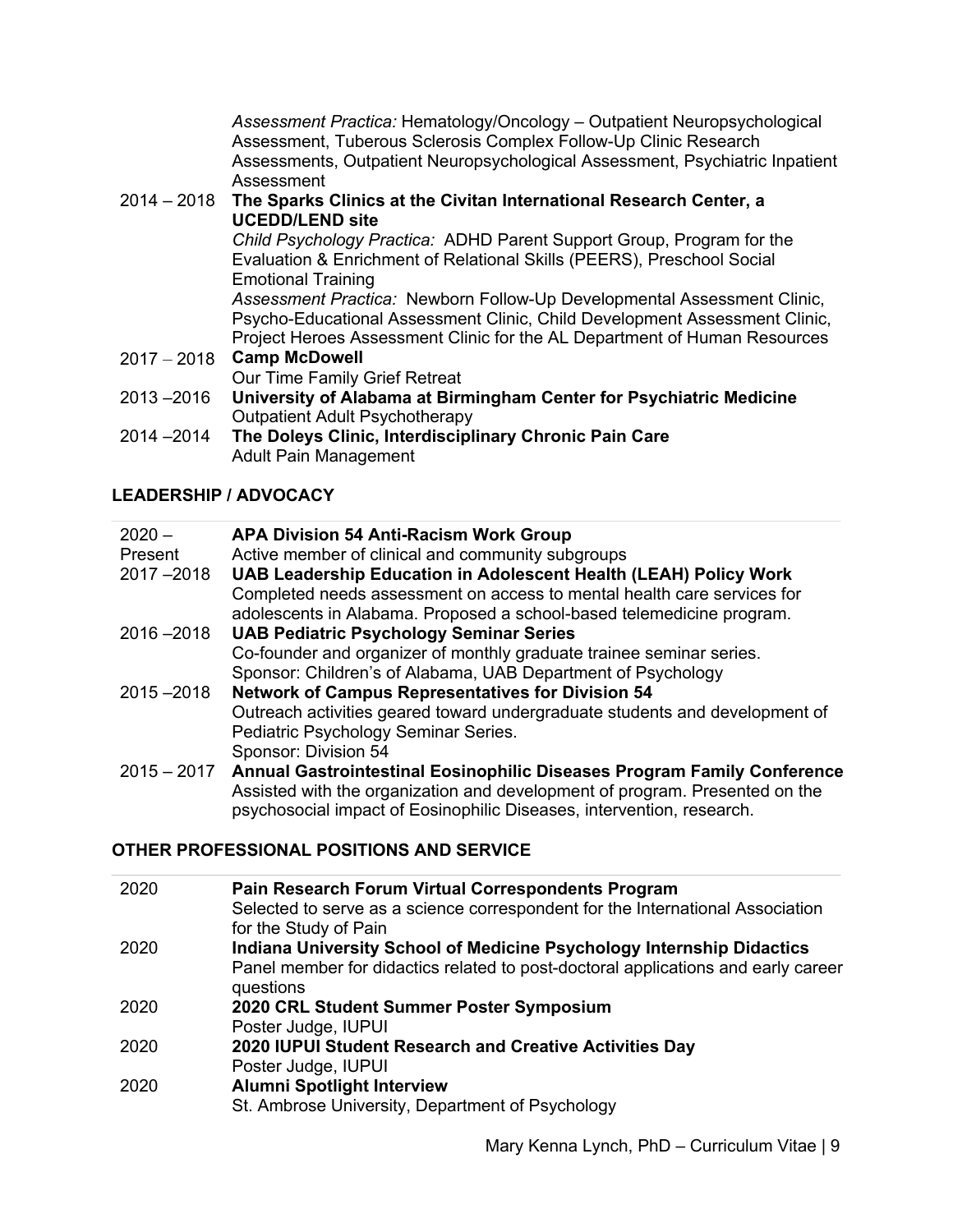*Assessment Practica:* Hematology/Oncology – Outpatient Neuropsychological Assessment, Tuberous Sclerosis Complex Follow-Up Clinic Research Assessments, Outpatient Neuropsychological Assessment, Psychiatric Inpatient Assessment

## 2014 – 2018 **The Sparks Clinics at the Civitan International Research Center, a UCEDD/LEND site**

*Child Psychology Practica:* ADHD Parent Support Group, Program for the Evaluation & Enrichment of Relational Skills (PEERS), Preschool Social Emotional Training

*Assessment Practica:* Newborn Follow-Up Developmental Assessment Clinic, Psycho-Educational Assessment Clinic, Child Development Assessment Clinic, Project Heroes Assessment Clinic for the AL Department of Human Resources

- 2017 2018 **Camp McDowell** Our Time Family Grief Retreat 2013 –2016 **University of Alabama at Birmingham Center for Psychiatric Medicine** Outpatient Adult Psychotherapy
- 2014 –2014 **The Doleys Clinic, Interdisciplinary Chronic Pain Care** Adult Pain Management

# **LEADERSHIP / ADVOCACY**

| $2020 -$      | <b>APA Division 54 Anti-Racism Work Group</b>                                       |
|---------------|-------------------------------------------------------------------------------------|
| Present       | Active member of clinical and community subgroups                                   |
| $2017 - 2018$ | <b>UAB Leadership Education in Adolescent Health (LEAH) Policy Work</b>             |
|               | Completed needs assessment on access to mental health care services for             |
|               | adolescents in Alabama. Proposed a school-based telemedicine program.               |
| $2016 - 2018$ | <b>UAB Pediatric Psychology Seminar Series</b>                                      |
|               | Co-founder and organizer of monthly graduate trainee seminar series.                |
|               | Sponsor: Children's of Alabama, UAB Department of Psychology                        |
| $2015 - 2018$ | <b>Network of Campus Representatives for Division 54</b>                            |
|               | Outreach activities geared toward undergraduate students and development of         |
|               | Pediatric Psychology Seminar Series.                                                |
|               | Sponsor: Division 54                                                                |
|               | 2015 - 2017 Annual Gastrointestinal Eosinophilic Diseases Program Family Conference |
|               | Assisted with the organization and development of program. Presented on the         |
|               | psychosocial impact of Eosinophilic Diseases, intervention, research.               |

# **OTHER PROFESSIONAL POSITIONS AND SERVICE**

| 2020 | Pain Research Forum Virtual Correspondents Program<br>Selected to serve as a science correspondent for the International Association<br>for the Study of Pain                  |
|------|--------------------------------------------------------------------------------------------------------------------------------------------------------------------------------|
| 2020 | <b>Indiana University School of Medicine Psychology Internship Didactics</b><br>Panel member for didactics related to post-doctoral applications and early career<br>questions |
| 2020 | 2020 CRL Student Summer Poster Symposium<br>Poster Judge, IUPUI                                                                                                                |
| 2020 | 2020 IUPUI Student Research and Creative Activities Day<br>Poster Judge, IUPUI                                                                                                 |
| 2020 | <b>Alumni Spotlight Interview</b><br>St. Ambrose University, Department of Psychology                                                                                          |